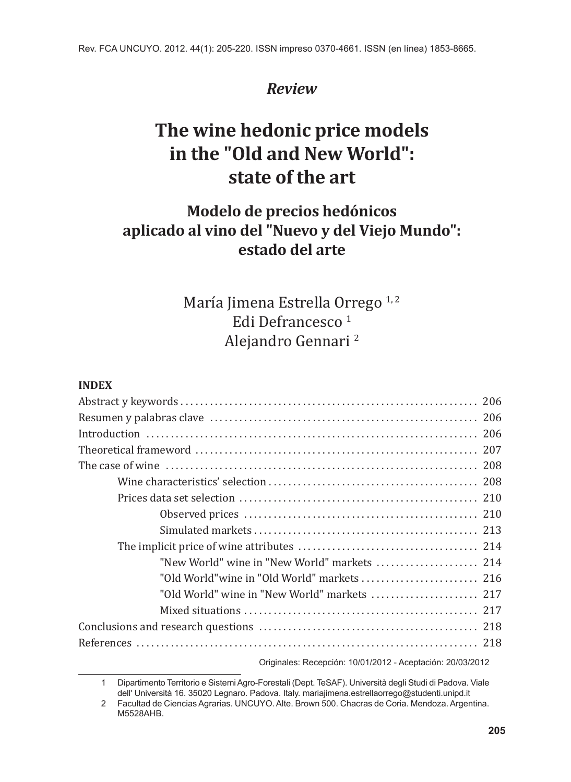# *Review*

# **The wine hedonic price models in the "Old and New World": state of the art**

# **Modelo de precios hedónicos aplicado al vino del "Nuevo y del Viejo Mundo": estado del arte**

# María Jimena Estrella Orrego<sup>1,2</sup> Edi Defrancesco<sup>1</sup> Alejandro Gennari <sup>2</sup>

# **INDEX**

| "New World" wine in "New World" markets  214 |  |
|----------------------------------------------|--|
|                                              |  |
| "Old World" wine in "New World" markets  217 |  |
|                                              |  |
|                                              |  |
|                                              |  |
|                                              |  |

Originales: Recepción: 10/01/2012 - Aceptación: 20/03/2012

<sup>1</sup> Dipartimento Territorio e Sistemi Agro-Forestali (Dept. TeSAF). Università degli Studi di Padova. Viale dell' Università 16. 35020 Legnaro. Padova. Italy. mariajimena.estrellaorrego@studenti.unipd.it

<sup>2</sup> Facultad de Ciencias Agrarias. UNCUYO. Alte. Brown 500. Chacras de Coria. Mendoza. Argentina. M5528AHB.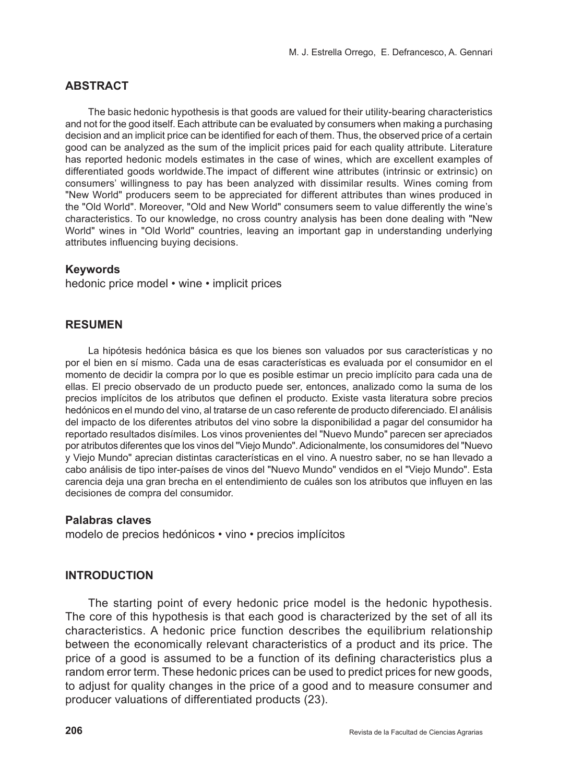# **ABSTRACT**

The basic hedonic hypothesis is that goods are valued for their utility-bearing characteristics and not for the good itself. Each attribute can be evaluated by consumers when making a purchasing decision and an implicit price can be identified for each of them. Thus, the observed price of a certain good can be analyzed as the sum of the implicit prices paid for each quality attribute. Literature has reported hedonic models estimates in the case of wines, which are excellent examples of differentiated goods worldwide.The impact of different wine attributes (intrinsic or extrinsic) on consumers' willingness to pay has been analyzed with dissimilar results. Wines coming from "New World" producers seem to be appreciated for different attributes than wines produced in the "Old World". Moreover, "Old and New World" consumers seem to value differently the wine's characteristics. To our knowledge, no cross country analysis has been done dealing with "New World" wines in "Old World" countries, leaving an important gap in understanding underlying attributes influencing buying decisions.

### **Keywords**

hedonic price model • wine • implicit prices

### **RESUMEN**

La hipótesis hedónica básica es que los bienes son valuados por sus características y no por el bien en sí mismo. Cada una de esas características es evaluada por el consumidor en el momento de decidir la compra por lo que es posible estimar un precio implícito para cada una de ellas. El precio observado de un producto puede ser, entonces, analizado como la suma de los precios implícitos de los atributos que definen el producto. Existe vasta literatura sobre precios hedónicos en el mundo del vino, al tratarse de un caso referente de producto diferenciado. El análisis del impacto de los diferentes atributos del vino sobre la disponibilidad a pagar del consumidor ha reportado resultados disímiles. Los vinos provenientes del "Nuevo Mundo" parecen ser apreciados por atributos diferentes que los vinos del "Viejo Mundo". Adicionalmente, los consumidores del "Nuevo y Viejo Mundo" aprecian distintas características en el vino. A nuestro saber, no se han llevado a cabo análisis de tipo inter-países de vinos del "Nuevo Mundo" vendidos en el "Viejo Mundo". Esta carencia deja una gran brecha en el entendimiento de cuáles son los atributos que influyen en las decisiones de compra del consumidor.

### **Palabras claves**

modelo de precios hedónicos • vino • precios implícitos

### **Introduction**

The starting point of every hedonic price model is the hedonic hypothesis. The core of this hypothesis is that each good is characterized by the set of all its characteristics. A hedonic price function describes the equilibrium relationship between the economically relevant characteristics of a product and its price. The price of a good is assumed to be a function of its defining characteristics plus a random error term. These hedonic prices can be used to predict prices for new goods, to adjust for quality changes in the price of a good and to measure consumer and producer valuations of differentiated products (23).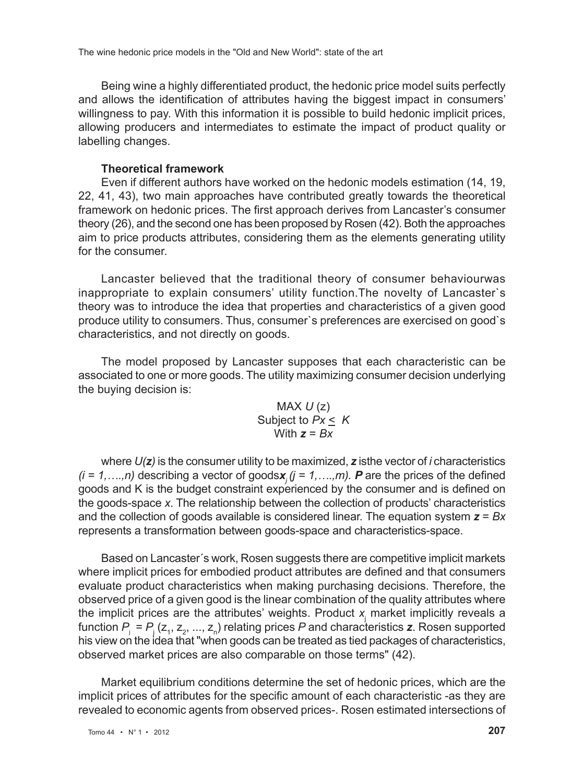Being wine a highly differentiated product, the hedonic price model suits perfectly and allows the identification of attributes having the biggest impact in consumers' willingness to pay. With this information it is possible to build hedonic implicit prices, allowing producers and intermediates to estimate the impact of product quality or labelling changes.

# **Theoretical framework**

Even if different authors have worked on the hedonic models estimation (14, 19, 22, 41, 43), two main approaches have contributed greatly towards the theoretical framework on hedonic prices. The first approach derives from Lancaster's consumer theory (26), and the second one has been proposed by Rosen (42). Both the approaches aim to price products attributes, considering them as the elements generating utility for the consumer.

Lancaster believed that the traditional theory of consumer behaviourwas inappropriate to explain consumers' utility function.The novelty of Lancaster`s theory was to introduce the idea that properties and characteristics of a given good produce utility to consumers. Thus, consumer`s preferences are exercised on good`s characteristics, and not directly on goods.

The model proposed by Lancaster supposes that each characteristic can be associated to one or more goods. The utility maximizing consumer decision underlying the buying decision is:

> MAX *U* (z) Subject to  $Px \leq K$ With *z* = *Bx*

where *U(z)* is the consumer utility to be maximized, *z* isthe vector of *i* characteristics  $(i = 1, \ldots, n)$  describing a vector of goodsx<sub>*i*</sub>  $(j = 1, \ldots, m)$ . **P** are the prices of the defined goods and K is the budget constraint experienced by the consumer and is defined on the goods-space *x*. The relationship between the collection of products' characteristics and the collection of goods available is considered linear. The equation system *z* = *Bx*  represents a transformation between goods-space and characteristics-space.

Based on Lancaster´s work, Rosen suggests there are competitive implicit markets where implicit prices for embodied product attributes are defined and that consumers evaluate product characteristics when making purchasing decisions. Therefore, the observed price of a given good is the linear combination of the quality attributes where the implicit prices are the attributes' weights. Product *x*<sup>j</sup> market implicitly reveals a function  $P_{\text{j}} = P_{\text{j}}(z_{\text{i}},z_{\text{2}},...,z_{\text{n}})$  relating prices  $P$  and characteristics  $\bm{z}$ . Rosen supported his view on the idea that "when goods can be treated as tied packages of characteristics, observed market prices are also comparable on those terms" (42).

Market equilibrium conditions determine the set of hedonic prices, which are the implicit prices of attributes for the specific amount of each characteristic -as they are revealed to economic agents from observed prices-. Rosen estimated intersections of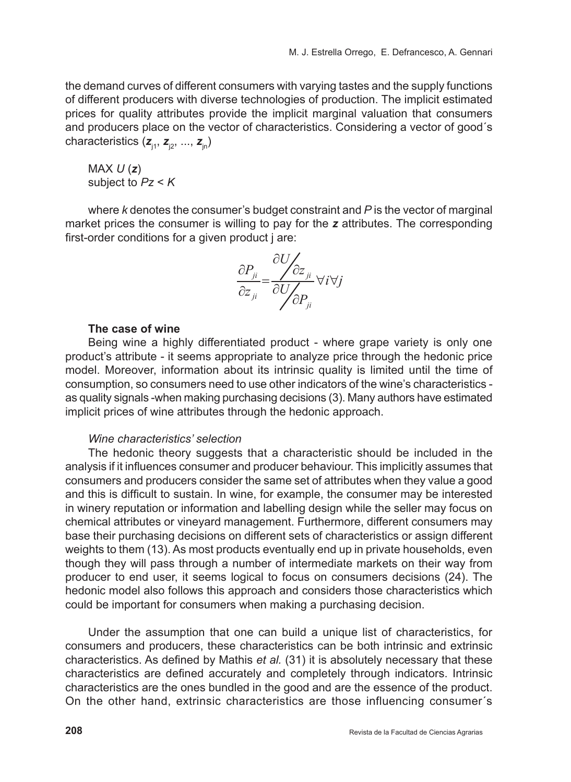the demand curves of different consumers with varying tastes and the supply functions of different producers with diverse technologies of production. The implicit estimated prices for quality attributes provide the implicit marginal valuation that consumers and producers place on the vector of characteristics. Considering a vector of good´s characteristics ( $\mathbf{z}_{i1}$ ,  $\mathbf{z}_{i2}$ , ...,  $\mathbf{z}_{in}$ )

MAX *U* (*z*) subject to *Pz* < *K*

where *k* denotes the consumer's budget constraint and *P* is the vector of marginal market prices the consumer is willing to pay for the *z* attributes. The corresponding first-order conditions for a given product i are:

$$
\frac{\partial P_{ji}}{\partial z_{ji}} = \frac{\partial U}{\partial U_{j}} \frac{\partial z_{ji}}{\partial P_{ji}} \forall i \forall j
$$

### **The case of wine**

Being wine a highly differentiated product - where grape variety is only one product's attribute - it seems appropriate to analyze price through the hedonic price model. Moreover, information about its intrinsic quality is limited until the time of consumption, so consumers need to use other indicators of the wine's characteristics as quality signals -when making purchasing decisions (3). Many authors have estimated implicit prices of wine attributes through the hedonic approach.

# *Wine characteristics' selection*

The hedonic theory suggests that a characteristic should be included in the analysis if it influences consumer and producer behaviour. This implicitly assumes that consumers and producers consider the same set of attributes when they value a good and this is difficult to sustain. In wine, for example, the consumer may be interested in winery reputation or information and labelling design while the seller may focus on chemical attributes or vineyard management. Furthermore, different consumers may base their purchasing decisions on different sets of characteristics or assign different weights to them (13). As most products eventually end up in private households, even though they will pass through a number of intermediate markets on their way from producer to end user, it seems logical to focus on consumers decisions (24). The hedonic model also follows this approach and considers those characteristics which could be important for consumers when making a purchasing decision.

Under the assumption that one can build a unique list of characteristics, for consumers and producers, these characteristics can be both intrinsic and extrinsic characteristics. As defined by Mathis *et al.* (31) it is absolutely necessary that these characteristics are defined accurately and completely through indicators. Intrinsic characteristics are the ones bundled in the good and are the essence of the product. On the other hand, extrinsic characteristics are those influencing consumer´s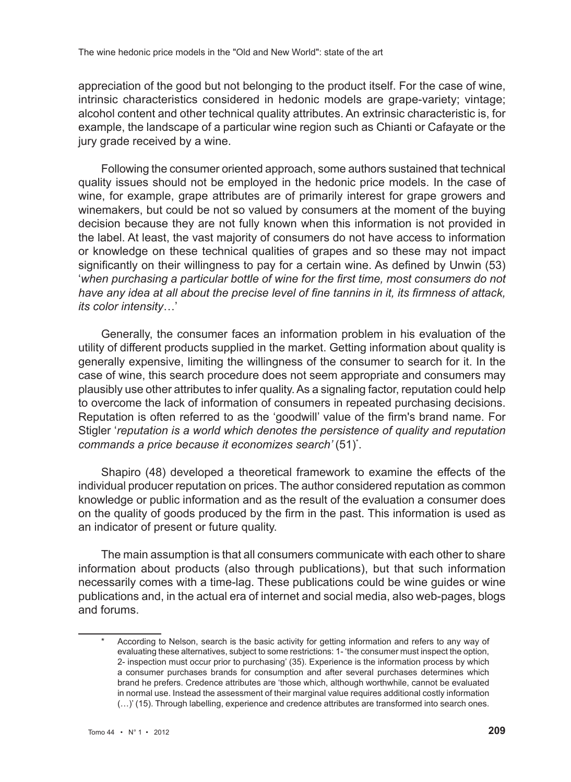appreciation of the good but not belonging to the product itself. For the case of wine, intrinsic characteristics considered in hedonic models are grape-variety; vintage; alcohol content and other technical quality attributes. An extrinsic characteristic is, for example, the landscape of a particular wine region such as Chianti or Cafayate or the jury grade received by a wine.

Following the consumer oriented approach, some authors sustained that technical quality issues should not be employed in the hedonic price models. In the case of wine, for example, grape attributes are of primarily interest for grape growers and winemakers, but could be not so valued by consumers at the moment of the buying decision because they are not fully known when this information is not provided in the label. At least, the vast majority of consumers do not have access to information or knowledge on these technical qualities of grapes and so these may not impact significantly on their willingness to pay for a certain wine. As defined by Unwin (53) '*when purchasing a particular bottle of wine for the first time, most consumers do not have any idea at all about the precise level of fine tannins in it, its firmness of attack, its color intensity*…'

Generally, the consumer faces an information problem in his evaluation of the utility of different products supplied in the market. Getting information about quality is generally expensive, limiting the willingness of the consumer to search for it. In the case of wine, this search procedure does not seem appropriate and consumers may plausibly use other attributes to infer quality. As a signaling factor, reputation could help to overcome the lack of information of consumers in repeated purchasing decisions. Reputation is often referred to as the 'goodwill' value of the firm's brand name. For Stigler '*reputation is a world which denotes the persistence of quality and reputation commands a price because it economizes search'* (51)\* .

Shapiro (48) developed a theoretical framework to examine the effects of the individual producer reputation on prices. The author considered reputation as common knowledge or public information and as the result of the evaluation a consumer does on the quality of goods produced by the firm in the past. This information is used as an indicator of present or future quality.

The main assumption is that all consumers communicate with each other to share information about products (also through publications), but that such information necessarily comes with a time-lag. These publications could be wine guides or wine publications and, in the actual era of internet and social media, also web-pages, blogs and forums.

According to Nelson, search is the basic activity for getting information and refers to any way of evaluating these alternatives, subject to some restrictions: 1- 'the consumer must inspect the option, 2- inspection must occur prior to purchasing' (35). Experience is the information process by which a consumer purchases brands for consumption and after several purchases determines which brand he prefers. Credence attributes are 'those which, although worthwhile, cannot be evaluated in normal use. Instead the assessment of their marginal value requires additional costly information (…)' (15). Through labelling, experience and credence attributes are transformed into search ones.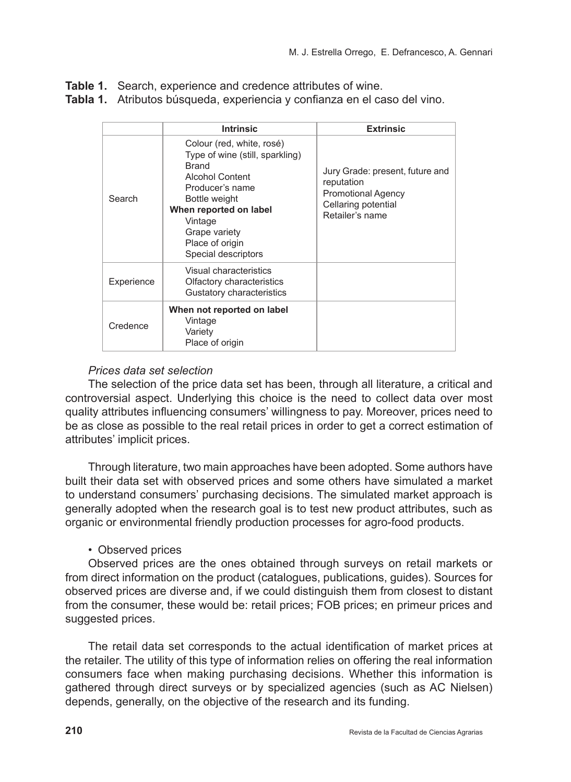**Table 1.** Search, experience and credence attributes of wine.

**Tabla 1.** Atributos búsqueda, experiencia y confianza en el caso del vino.

|            | <b>Intrinsic</b>                                                                                                                                                                                                                    | <b>Extrinsic</b>                                                                                                     |
|------------|-------------------------------------------------------------------------------------------------------------------------------------------------------------------------------------------------------------------------------------|----------------------------------------------------------------------------------------------------------------------|
| Search     | Colour (red, white, rosé)<br>Type of wine (still, sparkling)<br><b>Brand</b><br>Alcohol Content<br>Producer's name<br>Bottle weight<br>When reported on label<br>Vintage<br>Grape variety<br>Place of origin<br>Special descriptors | Jury Grade: present, future and<br>reputation<br><b>Promotional Agency</b><br>Cellaring potential<br>Retailer's name |
| Experience | Visual characteristics<br>Olfactory characteristics<br>Gustatory characteristics                                                                                                                                                    |                                                                                                                      |
| Credence   | When not reported on label<br>Vintage<br>Variety<br>Place of origin                                                                                                                                                                 |                                                                                                                      |

# *Prices data set selection*

The selection of the price data set has been, through all literature, a critical and controversial aspect. Underlying this choice is the need to collect data over most quality attributes influencing consumers' willingness to pay. Moreover, prices need to be as close as possible to the real retail prices in order to get a correct estimation of attributes' implicit prices.

Through literature, two main approaches have been adopted. Some authors have built their data set with observed prices and some others have simulated a market to understand consumers' purchasing decisions. The simulated market approach is generally adopted when the research goal is to test new product attributes, such as organic or environmental friendly production processes for agro-food products.

# • Observed prices

Observed prices are the ones obtained through surveys on retail markets or from direct information on the product (catalogues, publications, guides). Sources for observed prices are diverse and, if we could distinguish them from closest to distant from the consumer, these would be: retail prices; FOB prices; en primeur prices and suggested prices.

The retail data set corresponds to the actual identification of market prices at the retailer. The utility of this type of information relies on offering the real information consumers face when making purchasing decisions. Whether this information is gathered through direct surveys or by specialized agencies (such as AC Nielsen) depends, generally, on the objective of the research and its funding.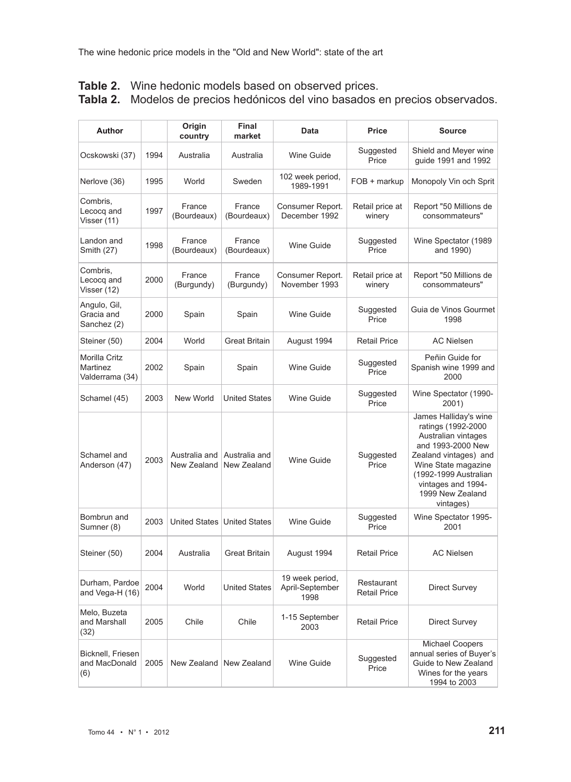| Author                                       |      | Origin<br>country            | Final<br>market              | Data                                       | Price                             | <b>Source</b>                                                                                                                                                                                                           |
|----------------------------------------------|------|------------------------------|------------------------------|--------------------------------------------|-----------------------------------|-------------------------------------------------------------------------------------------------------------------------------------------------------------------------------------------------------------------------|
| Ocskowski (37)                               | 1994 | Australia                    | Australia                    | Wine Guide                                 | Suggested<br>Price                | Shield and Meyer wine<br>guide 1991 and 1992                                                                                                                                                                            |
| Nerlove (36)                                 | 1995 | World                        | Sweden                       | 102 week period,<br>1989-1991              | FOB + markup                      | Monopoly Vin och Sprit                                                                                                                                                                                                  |
| Combris,<br>Lecocq and<br>Visser (11)        | 1997 | France<br>(Bourdeaux)        | France<br>(Bourdeaux)        | Consumer Report.<br>December 1992          | Retail price at<br>winery         | Report "50 Millions de<br>consommateurs"                                                                                                                                                                                |
| Landon and<br>Smith (27)                     | 1998 | France<br>(Bourdeaux)        | France<br>(Bourdeaux)        | Wine Guide                                 | Suggested<br>Price                | Wine Spectator (1989<br>and 1990)                                                                                                                                                                                       |
| Combris,<br>Lecocq and<br>Visser (12)        | 2000 | France<br>(Burgundy)         | France<br>(Burgundy)         | Consumer Report.<br>November 1993          | Retail price at<br>winery         | Report "50 Millions de<br>consommateurs"                                                                                                                                                                                |
| Angulo, Gil,<br>Gracia and<br>Sanchez (2)    | 2000 | Spain                        | Spain                        | Wine Guide                                 | Suggested<br>Price                | Guia de Vinos Gourmet<br>1998                                                                                                                                                                                           |
| Steiner (50)                                 | 2004 | World                        | <b>Great Britain</b>         | August 1994                                | <b>Retail Price</b>               | <b>AC Nielsen</b>                                                                                                                                                                                                       |
| Morilla Critz<br>Martinez<br>Valderrama (34) | 2002 | Spain                        | Spain                        | Wine Guide                                 | Suggested<br>Price                | Peñin Guide for<br>Spanish wine 1999 and<br>2000                                                                                                                                                                        |
| Schamel (45)                                 | 2003 | New World                    | <b>United States</b>         | Wine Guide                                 | Suggested<br>Price                | Wine Spectator (1990-<br>2001)                                                                                                                                                                                          |
| Schamel and<br>Anderson (47)                 | 2003 | Australia and<br>New Zealand | Australia and<br>New Zealand | Wine Guide                                 | Suggested<br>Price                | James Halliday's wine<br>ratings (1992-2000<br>Australian vintages<br>and 1993-2000 New<br>Zealand vintages) and<br>Wine State magazine<br>(1992-1999 Australian<br>vintages and 1994-<br>1999 New Zealand<br>vintages) |
| Bombrun and<br>Sumner (8)                    | 2003 |                              | United States United States  | Wine Guide                                 | Suggested<br>Price                | Wine Spectator 1995-<br>2001                                                                                                                                                                                            |
| Steiner (50)                                 | 2004 | Australia                    | <b>Great Britain</b>         | August 1994                                | <b>Retail Price</b>               | <b>AC Nielsen</b>                                                                                                                                                                                                       |
| Durham, Pardoe<br>and Vega-H (16)            | 2004 | World                        | <b>United States</b>         | 19 week period,<br>April-September<br>1998 | Restaurant<br><b>Retail Price</b> | Direct Survey                                                                                                                                                                                                           |
| Melo, Buzeta<br>and Marshall<br>(32)         | 2005 | Chile                        | Chile                        | 1-15 September<br>2003                     | <b>Retail Price</b>               | Direct Survey                                                                                                                                                                                                           |
| Bicknell, Friesen<br>and MacDonald<br>(6)    | 2005 | New Zealand                  | New Zealand                  | Wine Guide                                 | Suggested<br>Price                | <b>Michael Coopers</b><br>annual series of Buyer's<br>Guide to New Zealand<br>Wines for the years<br>1994 to 2003                                                                                                       |

# **Table 2.** Wine hedonic models based on observed prices. **Tabla 2.** Modelos de precios hedónicos del vino basados en precios observados.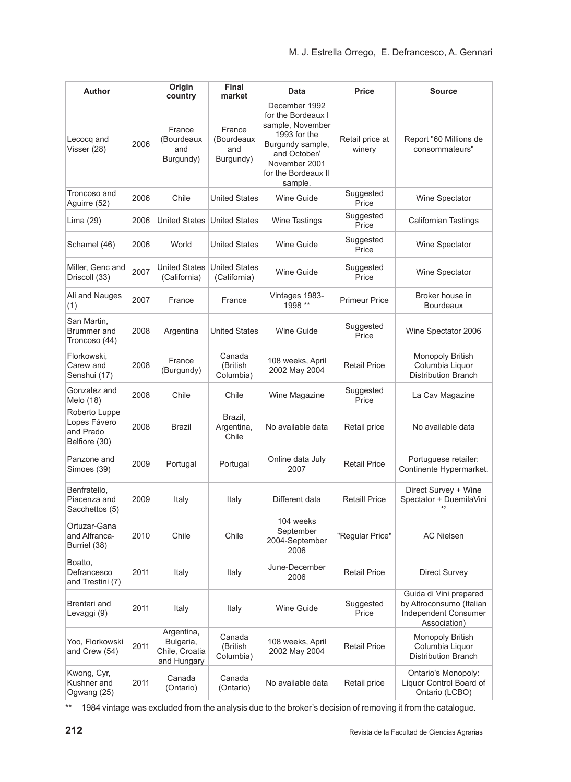| Author                                                      |      | Origin<br>country                                        | Final<br>market                          | Data                                                                                                                                                           | Price                     | <b>Source</b>                                                                              |
|-------------------------------------------------------------|------|----------------------------------------------------------|------------------------------------------|----------------------------------------------------------------------------------------------------------------------------------------------------------------|---------------------------|--------------------------------------------------------------------------------------------|
| Lecocq and<br>Visser (28)                                   | 2006 | France<br>(Bourdeaux<br>and<br>Burgundy)                 | France<br>(Bourdeaux<br>and<br>Burgundy) | December 1992<br>for the Bordeaux I<br>sample, November<br>1993 for the<br>Burgundy sample,<br>and October/<br>November 2001<br>for the Bordeaux II<br>sample. | Retail price at<br>winery | Report "60 Millions de<br>consommateurs"                                                   |
| Troncoso and<br>Aguirre (52)                                | 2006 | Chile                                                    | <b>United States</b>                     | <b>Wine Guide</b>                                                                                                                                              | Suggested<br>Price        | Wine Spectator                                                                             |
| Lima (29)                                                   | 2006 | <b>United States</b>                                     | <b>United States</b>                     | <b>Wine Tastings</b>                                                                                                                                           | Suggested<br>Price        | <b>Californian Tastings</b>                                                                |
| Schamel (46)                                                | 2006 | World                                                    | <b>United States</b>                     | Wine Guide                                                                                                                                                     | Suggested<br>Price        | Wine Spectator                                                                             |
| Miller, Genc and<br>Driscoll (33)                           | 2007 | <b>United States</b><br>(California)                     | <b>United States</b><br>(California)     | Wine Guide                                                                                                                                                     | Suggested<br>Price        | Wine Spectator                                                                             |
| Ali and Nauges<br>(1)                                       | 2007 | France                                                   | France                                   | Vintages 1983-<br>1998 **                                                                                                                                      | <b>Primeur Price</b>      | Broker house in<br><b>Bourdeaux</b>                                                        |
| San Martin,<br>Brummer and<br>Troncoso (44)                 | 2008 | Argentina                                                | <b>United States</b>                     | Wine Guide                                                                                                                                                     | Suggested<br>Price        | Wine Spectator 2006                                                                        |
| Florkowski,<br>Carew and<br>Senshui (17)                    | 2008 | France<br>(Burgundy)                                     | Canada<br>(British<br>Columbia)          | 108 weeks, April<br>2002 May 2004                                                                                                                              | <b>Retail Price</b>       | Monopoly British<br>Columbia Liquor<br><b>Distribution Branch</b>                          |
| Gonzalez and<br>Melo (18)                                   | 2008 | Chile                                                    | Chile                                    | Wine Magazine                                                                                                                                                  | Suggested<br>Price        | La Cav Magazine                                                                            |
| Roberto Luppe<br>Lopes Fávero<br>and Prado<br>Belfiore (30) | 2008 | Brazil                                                   | Brazil,<br>Argentina,<br>Chile           | No available data                                                                                                                                              | Retail price              | No available data                                                                          |
| Panzone and<br>Simoes (39)                                  | 2009 | Portugal                                                 | Portugal                                 | Online data July<br>2007                                                                                                                                       | <b>Retail Price</b>       | Portuguese retailer:<br>Continente Hypermarket.                                            |
| Benfratello,<br>Piacenza and<br>Sacchettos (5)              | 2009 | Italy                                                    | Italy                                    | Different data                                                                                                                                                 | <b>Retaill Price</b>      | Direct Survey + Wine<br>Spectator + DuemilaVini<br>$*2$                                    |
| Ortuzar-Gana<br>and Alfranca-<br>Burriel (38)               | 2010 | Chile                                                    | Chile                                    | 104 weeks<br>September<br>2004-September<br>2006                                                                                                               | "Reqular Price"           | <b>AC Nielsen</b>                                                                          |
| Boatto,<br>Defrancesco<br>and Trestini (7)                  | 2011 | Italy                                                    | Italy                                    | June-December<br>2006                                                                                                                                          | <b>Retail Price</b>       | <b>Direct Survey</b>                                                                       |
| Brentari and<br>Levaggi (9)                                 | 2011 | Italy                                                    | Italy                                    | Wine Guide                                                                                                                                                     | Suggested<br>Price        | Guida di Vini prepared<br>by Altroconsumo (Italian<br>Independent Consumer<br>Association) |
| Yoo, Florkowski<br>and Crew (54)                            | 2011 | Argentina,<br>Bulgaria,<br>Chile, Croatia<br>and Hungary | Canada<br>(British<br>Columbia)          | 108 weeks, April<br>2002 May 2004                                                                                                                              | <b>Retail Price</b>       | <b>Monopoly British</b><br>Columbia Liquor<br><b>Distribution Branch</b>                   |
| Kwong, Cyr,<br>Kushner and<br>Ogwang (25)                   | 2011 | Canada<br>(Ontario)                                      | Canada<br>(Ontario)                      | No available data                                                                                                                                              | Retail price              | Ontario's Monopoly:<br>Liquor Control Board of<br>Ontario (LCBO)                           |

\*\* 1984 vintage was excluded from the analysis due to the broker's decision of removing it from the catalogue.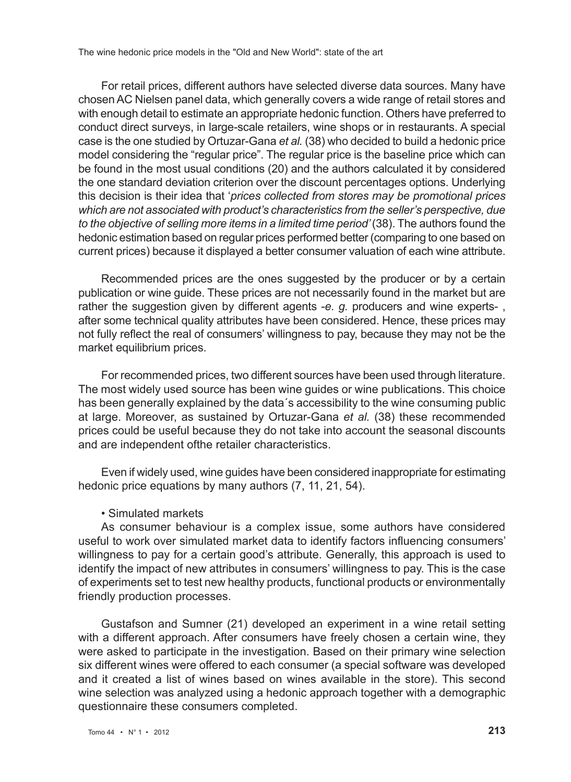For retail prices, different authors have selected diverse data sources. Many have chosen AC Nielsen panel data, which generally covers a wide range of retail stores and with enough detail to estimate an appropriate hedonic function. Others have preferred to conduct direct surveys, in large-scale retailers, wine shops or in restaurants. A special case is the one studied by Ortuzar-Gana *et al.* (38) who decided to build a hedonic price model considering the "regular price". The regular price is the baseline price which can be found in the most usual conditions (20) and the authors calculated it by considered the one standard deviation criterion over the discount percentages options. Underlying this decision is their idea that '*prices collected from stores may be promotional prices which are not associated with product's characteristics from the seller's perspective, due to the objective of selling more items in a limited time period'* (38). The authors found the hedonic estimation based on regular prices performed better (comparing to one based on current prices) because it displayed a better consumer valuation of each wine attribute.

Recommended prices are the ones suggested by the producer or by a certain publication or wine guide. These prices are not necessarily found in the market but are rather the suggestion given by different agents -*e. g.* producers and wine experts- , after some technical quality attributes have been considered. Hence, these prices may not fully reflect the real of consumers' willingness to pay, because they may not be the market equilibrium prices.

For recommended prices, two different sources have been used through literature. The most widely used source has been wine guides or wine publications. This choice has been generally explained by the data´s accessibility to the wine consuming public at large. Moreover, as sustained by Ortuzar-Gana *et al.* (38) these recommended prices could be useful because they do not take into account the seasonal discounts and are independent ofthe retailer characteristics.

Even if widely used, wine guides have been considered inappropriate for estimating hedonic price equations by many authors (7, 11, 21, 54).

#### • Simulated markets

As consumer behaviour is a complex issue, some authors have considered useful to work over simulated market data to identify factors influencing consumers' willingness to pay for a certain good's attribute. Generally, this approach is used to identify the impact of new attributes in consumers' willingness to pay. This is the case of experiments set to test new healthy products, functional products or environmentally friendly production processes.

Gustafson and Sumner (21) developed an experiment in a wine retail setting with a different approach. After consumers have freely chosen a certain wine, they were asked to participate in the investigation. Based on their primary wine selection six different wines were offered to each consumer (a special software was developed and it created a list of wines based on wines available in the store). This second wine selection was analyzed using a hedonic approach together with a demographic questionnaire these consumers completed.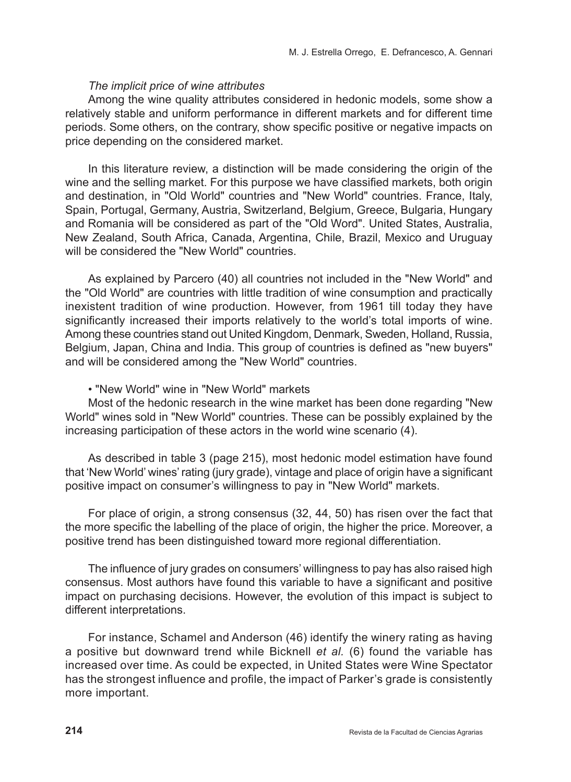### *The implicit price of wine attributes*

Among the wine quality attributes considered in hedonic models, some show a relatively stable and uniform performance in different markets and for different time periods. Some others, on the contrary, show specific positive or negative impacts on price depending on the considered market.

In this literature review, a distinction will be made considering the origin of the wine and the selling market. For this purpose we have classified markets, both origin and destination, in "Old World" countries and "New World" countries. France, Italy, Spain, Portugal, Germany, Austria, Switzerland, Belgium, Greece, Bulgaria, Hungary and Romania will be considered as part of the "Old Word". United States, Australia, New Zealand, South Africa, Canada, Argentina, Chile, Brazil, Mexico and Uruguay will be considered the "New World" countries.

As explained by Parcero (40) all countries not included in the "New World" and the "Old World" are countries with little tradition of wine consumption and practically inexistent tradition of wine production. However, from 1961 till today they have significantly increased their imports relatively to the world's total imports of wine. Among these countries stand out United Kingdom, Denmark, Sweden, Holland, Russia, Belgium, Japan, China and India. This group of countries is defined as "new buyers" and will be considered among the "New World" countries.

#### • "New World" wine in "New World" markets

Most of the hedonic research in the wine market has been done regarding "New World" wines sold in "New World" countries. These can be possibly explained by the increasing participation of these actors in the world wine scenario (4).

As described in table 3 (page 215), most hedonic model estimation have found that 'New World' wines' rating (jury grade), vintage and place of origin have a significant positive impact on consumer's willingness to pay in "New World" markets.

For place of origin, a strong consensus (32, 44, 50) has risen over the fact that the more specific the labelling of the place of origin, the higher the price. Moreover, a positive trend has been distinguished toward more regional differentiation.

The influence of jury grades on consumers' willingness to pay has also raised high consensus. Most authors have found this variable to have a significant and positive impact on purchasing decisions. However, the evolution of this impact is subject to different interpretations.

For instance, Schamel and Anderson (46) identify the winery rating as having a positive but downward trend while Bicknell *et al.* (6) found the variable has increased over time. As could be expected, in United States were Wine Spectator has the strongest influence and profile, the impact of Parker's grade is consistently more important.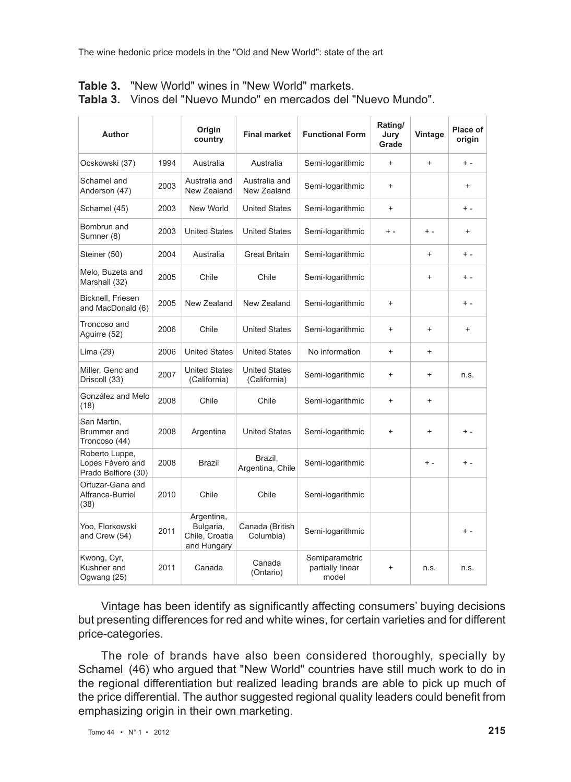| Author                                                    |      | Origin<br>country                                        | <b>Final market</b>                  | <b>Functional Form</b>                      | Rating/<br>Jury<br>Grade | Vintage   | Place of<br>origin |
|-----------------------------------------------------------|------|----------------------------------------------------------|--------------------------------------|---------------------------------------------|--------------------------|-----------|--------------------|
| Ocskowski (37)                                            | 1994 | Australia                                                | Australia                            | Semi-logarithmic                            | $^{+}$                   | $\ddot{}$ | $+ -$              |
| Schamel and<br>Anderson (47)                              | 2003 | Australia and<br>New Zealand                             | Australia and<br>New Zealand         | Semi-logarithmic                            | $\ddot{}$                |           | $+$                |
| Schamel (45)                                              | 2003 | New World                                                | <b>United States</b>                 | Semi-logarithmic                            | $^{+}$                   |           | $+ -$              |
| Bombrun and<br>Sumner (8)                                 | 2003 | <b>United States</b>                                     | <b>United States</b>                 | Semi-logarithmic                            | $+ -$                    | $+ -$     | $+$                |
| Steiner (50)                                              | 2004 | Australia                                                | <b>Great Britain</b>                 | Semi-logarithmic                            |                          | $\ddot{}$ | $+ -$              |
| Melo, Buzeta and<br>Marshall (32)                         | 2005 | Chile                                                    | Chile                                | Semi-logarithmic                            |                          | $\ddot{}$ | $+ -$              |
| Bicknell, Friesen<br>and MacDonald (6)                    | 2005 | New Zealand                                              | New Zealand                          | Semi-logarithmic                            | $\ddot{}$                |           | $+ -$              |
| Troncoso and<br>Aguirre (52)                              | 2006 | Chile                                                    | <b>United States</b>                 | Semi-logarithmic                            | $\ddot{}$                | $\ddot{}$ | $+$                |
| Lima (29)                                                 | 2006 | <b>United States</b>                                     | <b>United States</b>                 | No information                              | $^{+}$                   | $\ddot{}$ |                    |
| Miller, Genc and<br>Driscoll (33)                         | 2007 | <b>United States</b><br>(California)                     | <b>United States</b><br>(California) | Semi-logarithmic                            | $\ddot{}$                | $\ddot{}$ | n.s.               |
| González and Melo<br>(18)                                 | 2008 | Chile                                                    | Chile                                | Semi-logarithmic                            | $\ddot{}$                | $\ddot{}$ |                    |
| San Martin,<br>Brummer and<br>Troncoso (44)               | 2008 | Argentina                                                | <b>United States</b>                 | Semi-logarithmic                            | $\ddot{}$                | $\ddot{}$ | $+ -$              |
| Roberto Luppe,<br>Lopes Fávero and<br>Prado Belfiore (30) | 2008 | <b>Brazil</b>                                            | Brazil,<br>Argentina, Chile          | Semi-logarithmic                            |                          | $+ -$     | $+ -$              |
| Ortuzar-Gana and<br>Alfranca-Burriel<br>(38)              | 2010 | Chile                                                    | Chile                                | Semi-logarithmic                            |                          |           |                    |
| Yoo, Florkowski<br>and Crew (54)                          | 2011 | Argentina,<br>Bulgaria,<br>Chile, Croatia<br>and Hungary | Canada (British<br>Columbia)         | Semi-logarithmic                            |                          |           | $+ -$              |
| Kwong, Cyr,<br>Kushner and<br>Ogwang (25)                 | 2011 | Canada                                                   | Canada<br>(Ontario)                  | Semiparametric<br>partially linear<br>model | $\ddot{}$                | n.s.      | n.s.               |

| Table 3. |  | "New World" wines in "New World" markets. |  |
|----------|--|-------------------------------------------|--|
|          |  |                                           |  |

**Tabla 3.** Vinos del "Nuevo Mundo" en mercados del "Nuevo Mundo".

Vintage has been identify as significantly affecting consumers' buying decisions but presenting differences for red and white wines, for certain varieties and for different price-categories.

The role of brands have also been considered thoroughly, specially by Schamel (46) who argued that "New World" countries have still much work to do in the regional differentiation but realized leading brands are able to pick up much of the price differential. The author suggested regional quality leaders could benefit from emphasizing origin in their own marketing.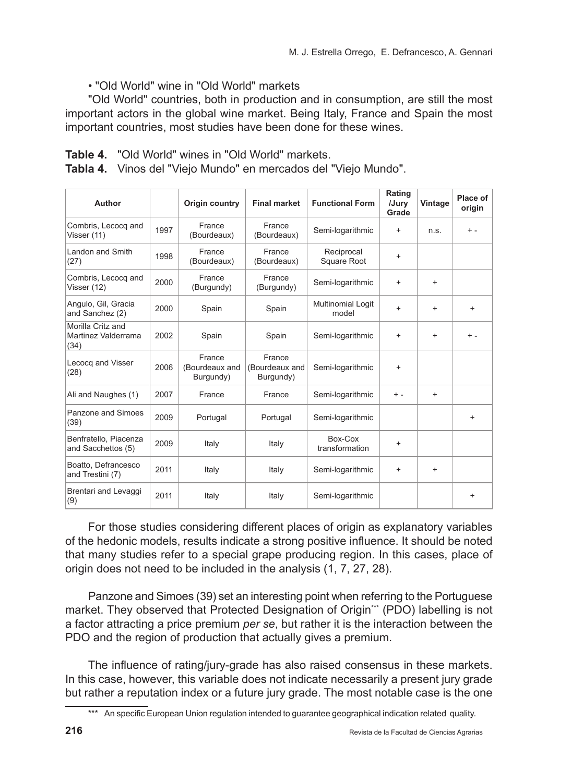• "Old World" wine in "Old World" markets

"Old World" countries, both in production and in consumption, are still the most important actors in the global wine market. Being Italy, France and Spain the most important countries, most studies have been done for these wines.

| Table 4. | "Old World" wines in "Old World" markets. |  |  |
|----------|-------------------------------------------|--|--|
|          |                                           |  |  |

**Tabla 4.** Vinos del "Viejo Mundo" en mercados del "Viejo Mundo".

| Author                                           |      | Origin country                        | <b>Final market</b>                   | <b>Functional Form</b>           | Rating<br>/Jurv<br>Grade | Vintage   | Place of<br>origin |
|--------------------------------------------------|------|---------------------------------------|---------------------------------------|----------------------------------|--------------------------|-----------|--------------------|
| Combris, Lecocq and<br>Visser (11)               | 1997 | France<br>(Bourdeaux)                 | France<br>(Bourdeaux)                 | Semi-logarithmic                 | $\ddot{}$                | n.s.      | $+ -$              |
| Landon and Smith<br>(27)                         | 1998 | France<br>(Bourdeaux)                 | France<br>(Bourdeaux)                 | Reciprocal<br><b>Square Root</b> | $\ddot{}$                |           |                    |
| Combris, Lecocq and<br>Visser (12)               | 2000 | France<br>(Burgundy)                  | France<br>(Burgundy)                  | Semi-logarithmic                 | $\ddot{}$                | $\ddot{}$ |                    |
| Angulo, Gil, Gracia<br>and Sanchez (2)           | 2000 | Spain                                 | Spain                                 | Multinomial Logit<br>model       | $\ddot{}$                | $\ddot{}$ | $+$                |
| Morilla Critz and<br>Martinez Valderrama<br>(34) | 2002 | Spain                                 | Spain                                 | Semi-logarithmic                 | $\ddot{}$                | $\ddot{}$ | $+ -$              |
| Lecocq and Visser<br>(28)                        | 2006 | France<br>(Bourdeaux and<br>Burgundy) | France<br>(Bourdeaux and<br>Burgundy) | Semi-logarithmic                 | $\ddot{}$                |           |                    |
| Ali and Naughes (1)                              | 2007 | France                                | France                                | Semi-logarithmic                 | $+ -$                    | $\ddot{}$ |                    |
| Panzone and Simoes<br>(39)                       | 2009 | Portugal                              | Portugal                              | Semi-logarithmic                 |                          |           | $+$                |
| Benfratello, Piacenza<br>and Sacchettos (5)      | 2009 | Italy                                 | Italy                                 | Box-Cox<br>transformation        | $\ddot{}$                |           |                    |
| Boatto, Defrancesco<br>and Trestini (7)          | 2011 | Italy                                 | Italy                                 | Semi-logarithmic                 | $\ddot{}$                | $\ddot{}$ |                    |
| Brentari and Levaggi<br>(9)                      | 2011 | Italy                                 | Italy                                 | Semi-logarithmic                 |                          |           | $\ddot{}$          |

For those studies considering different places of origin as explanatory variables of the hedonic models, results indicate a strong positive influence. It should be noted that many studies refer to a special grape producing region. In this cases, place of origin does not need to be included in the analysis (1, 7, 27, 28).

Panzone and Simoes (39) set an interesting point when referring to the Portuguese market. They observed that Protected Designation of Origin\*\*\* (PDO) labelling is not a factor attracting a price premium *per se*, but rather it is the interaction between the PDO and the region of production that actually gives a premium.

The influence of rating/jury-grade has also raised consensus in these markets. In this case, however, this variable does not indicate necessarily a present jury grade but rather a reputation index or a future jury grade. The most notable case is the one

<sup>\*\*\*</sup> An specific European Union regulation intended to guarantee geographical indication related quality.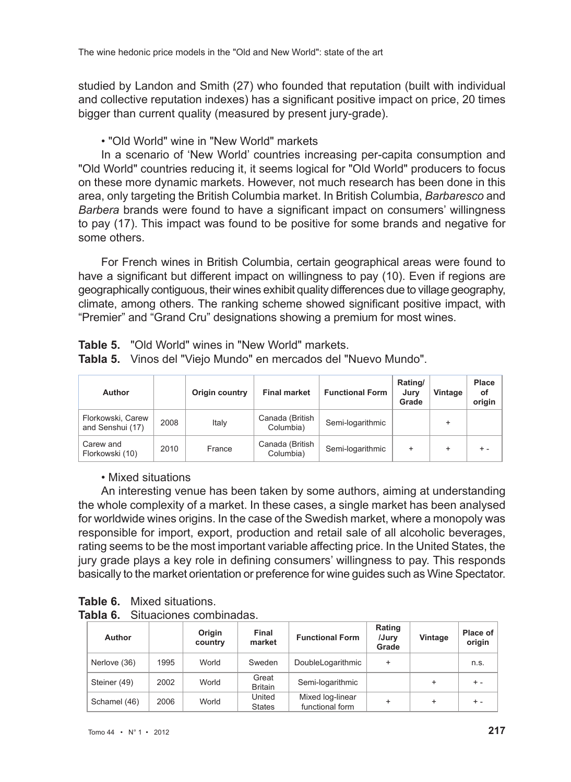studied by Landon and Smith (27) who founded that reputation (built with individual and collective reputation indexes) has a significant positive impact on price, 20 times bigger than current quality (measured by present jury-grade).

• "Old World" wine in "New World" markets

In a scenario of 'New World' countries increasing per-capita consumption and "Old World" countries reducing it, it seems logical for "Old World" producers to focus on these more dynamic markets. However, not much research has been done in this area, only targeting the British Columbia market. In British Columbia, *Barbaresco* and *Barbera* brands were found to have a significant impact on consumers' willingness to pay (17). This impact was found to be positive for some brands and negative for some others.

For French wines in British Columbia, certain geographical areas were found to have a significant but different impact on willingness to pay (10). Even if regions are geographically contiguous, their wines exhibit quality differences due to village geography, climate, among others. The ranking scheme showed significant positive impact, with "Premier" and "Grand Cru" designations showing a premium for most wines.

| Author                                |      | Origin country | <b>Final market</b>          | <b>Functional Form</b> | Rating/<br>Jurv<br>Grade | Vintage   | Place<br>οf<br>origin |
|---------------------------------------|------|----------------|------------------------------|------------------------|--------------------------|-----------|-----------------------|
| Florkowski, Carew<br>and Senshui (17) | 2008 | Italy          | Canada (British<br>Columbia) | Semi-logarithmic       |                          |           |                       |
| Carew and<br>Florkowski (10)          | 2010 | France         | Canada (British<br>Columbia) | Semi-logarithmic       | $\ddot{}$                | $\ddot{}$ | $+ -$                 |

**Table 5.** "Old World" wines in "New World" markets.

**Tabla 5.** Vinos del "Viejo Mundo" en mercados del "Nuevo Mundo".

# • Mixed situations

An interesting venue has been taken by some authors, aiming at understanding the whole complexity of a market. In these cases, a single market has been analysed for worldwide wines origins. In the case of the Swedish market, where a monopoly was responsible for import, export, production and retail sale of all alcoholic beverages, rating seems to be the most important variable affecting price. In the United States, the jury grade plays a key role in defining consumers' willingness to pay. This responds basically to the market orientation or preference for wine guides such as Wine Spectator.

**Table 6.** Mixed situations.

| Tabla 6. | Situaciones combinadas. |
|----------|-------------------------|
|          |                         |

| Author       |      | Origin<br>country | Final<br>market         | <b>Functional Form</b>              | Rating<br>/Jury<br>Grade | Vintage   | Place of<br>origin |
|--------------|------|-------------------|-------------------------|-------------------------------------|--------------------------|-----------|--------------------|
| Nerlove (36) | 1995 | World             | Sweden                  | DoubleLogarithmic                   | $\ddot{}$                |           | n.s.               |
| Steiner (49) | 2002 | World             | Great<br><b>Britain</b> | Semi-logarithmic                    |                          | $\ddot{}$ | $+ -$              |
| Schamel (46) | 2006 | World             | United<br><b>States</b> | Mixed log-linear<br>functional form |                          | $\ddot{}$ | $+ -$              |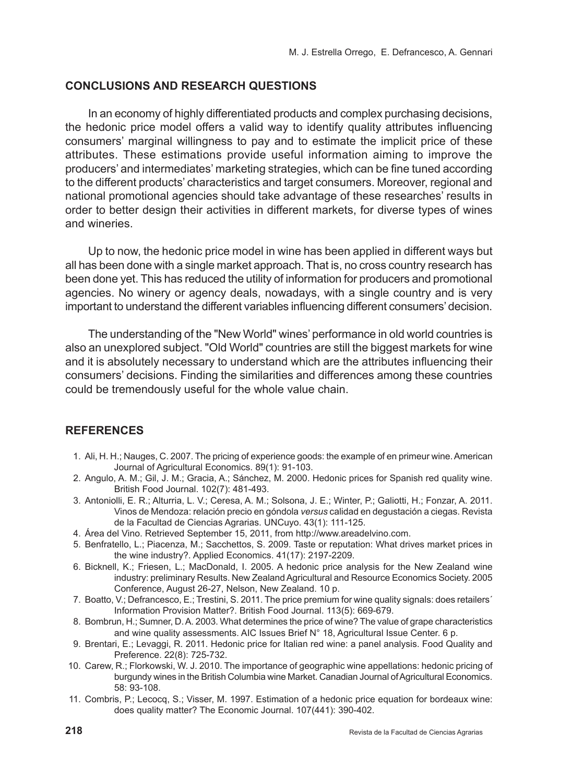# **Conclusions and research questions**

In an economy of highly differentiated products and complex purchasing decisions, the hedonic price model offers a valid way to identify quality attributes influencing consumers' marginal willingness to pay and to estimate the implicit price of these attributes. These estimations provide useful information aiming to improve the producers' and intermediates' marketing strategies, which can be fine tuned according to the different products' characteristics and target consumers. Moreover, regional and national promotional agencies should take advantage of these researches' results in order to better design their activities in different markets, for diverse types of wines and wineries.

Up to now, the hedonic price model in wine has been applied in different ways but all has been done with a single market approach. That is, no cross country research has been done yet. This has reduced the utility of information for producers and promotional agencies. No winery or agency deals, nowadays, with a single country and is very important to understand the different variables influencing different consumers' decision.

The understanding of the "New World" wines' performance in old world countries is also an unexplored subject. "Old World" countries are still the biggest markets for wine and it is absolutely necessary to understand which are the attributes influencing their consumers' decisions. Finding the similarities and differences among these countries could be tremendously useful for the whole value chain.

# **References**

- 1. Ali, H. H.; Nauges, C. 2007. The pricing of experience goods: the example of en primeur wine. American Journal of Agricultural Economics. 89(1): 91-103.
- 2. Angulo, A. M.; Gil, J. M.; Gracia, A.; Sánchez, M. 2000. Hedonic prices for Spanish red quality wine. British Food Journal. 102(7): 481-493.
- 3. Antoniolli, E. R.; Alturria, L. V.; Ceresa, A. M.; Solsona, J. E.; Winter, P.; Galiotti, H.; Fonzar, A. 2011. Vinos de Mendoza: relación precio en góndola *versus* calidad en degustación a ciegas. Revista de la Facultad de Ciencias Agrarias. UNCuyo. 43(1): 111-125.
- 4. Área del Vino. Retrieved September 15, 2011, from http://www.areadelvino.com.
- 5. Benfratello, L.; Piacenza, M.; Sacchettos, S. 2009. Taste or reputation: What drives market prices in the wine industry?. Applied Economics. 41(17): 2197-2209.
- 6. Bicknell, K.; Friesen, L.; MacDonald, I. 2005. A hedonic price analysis for the New Zealand wine industry: preliminary Results. New Zealand Agricultural and Resource Economics Society. 2005 Conference, August 26-27, Nelson, New Zealand. 10 p.
- 7. Boatto, V.; Defrancesco, E.; Trestini, S. 2011. The price premium for wine quality signals: does retailers´ Information Provision Matter?. British Food Journal. 113(5): 669-679.
- 8. Bombrun, H.; Sumner, D. A. 2003. What determines the price of wine? The value of grape characteristics and wine quality assessments. AIC Issues Brief N° 18, Agricultural Issue Center. 6 p.
- 9. Brentari, E.; Levaggi, R. 2011. Hedonic price for Italian red wine: a panel analysis. Food Quality and Preference. 22(8): 725-732.
- 10. Carew, R.; Florkowski, W. J. 2010. The importance of geographic wine appellations: hedonic pricing of burgundy wines in the British Columbia wine Market. Canadian Journal of Agricultural Economics. 58: 93-108.
- 11. Combris, P.; Lecocq, S.; Visser, M. 1997. Estimation of a hedonic price equation for bordeaux wine: does quality matter? The Economic Journal. 107(441): 390-402.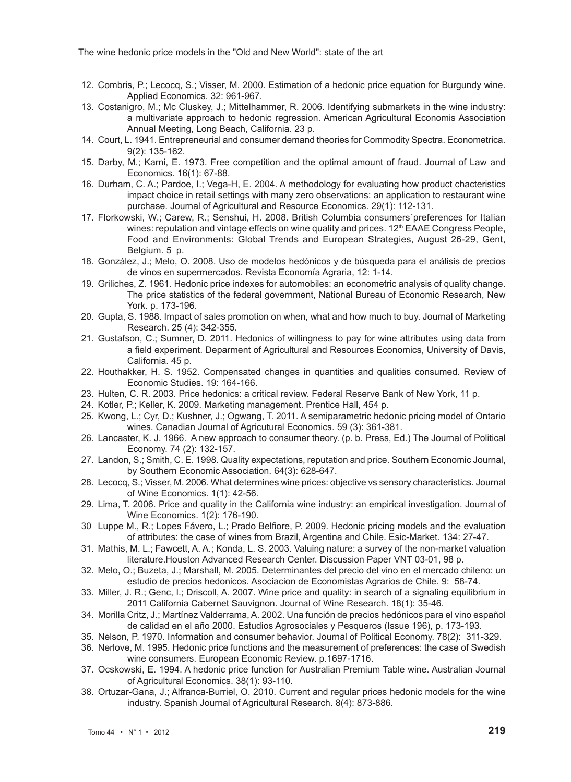- 12. Combris, P.; Lecocq, S.; Visser, M. 2000. Estimation of a hedonic price equation for Burgundy wine. Applied Economics. 32: 961-967.
- 13. Costanigro, M.; Mc Cluskey, J.; Mittelhammer, R. 2006. Identifying submarkets in the wine industry: a multivariate approach to hedonic regression. American Agricultural Economis Association Annual Meeting, Long Beach, California. 23 p.
- 14. Court, L. 1941. Entrepreneurial and consumer demand theories for Commodity Spectra. Econometrica. 9(2): 135-162.
- 15. Darby, M.; Karni, E. 1973. Free competition and the optimal amount of fraud. Journal of Law and Economics. 16(1): 67-88.
- 16. Durham, C. A.; Pardoe, I.; Vega-H, E. 2004. A methodology for evaluating how product chacteristics impact choice in retail settings with many zero observations: an application to restaurant wine purchase. Journal of Agricultural and Resource Economics. 29(1): 112-131.
- 17. Florkowski, W.; Carew, R.; Senshui, H. 2008. British Columbia consumers´preferences for Italian wines: reputation and vintage effects on wine quality and prices.  $12<sup>th</sup>$  EAAE Congress People, Food and Environments: Global Trends and European Strategies, August 26-29, Gent, Belgium. 5 p.
- 18. González, J.; Melo, O. 2008. Uso de modelos hedónicos y de búsqueda para el análisis de precios de vinos en supermercados. Revista Economía Agraria, 12: 1-14.
- 19. Griliches, Z. 1961. Hedonic price indexes for automobiles: an econometric analysis of quality change. The price statistics of the federal government, National Bureau of Economic Research, New York. p. 173-196.
- 20. Gupta, S. 1988. Impact of sales promotion on when, what and how much to buy. Journal of Marketing Research. 25 (4): 342-355.
- 21. Gustafson, C.; Sumner, D. 2011. Hedonics of willingness to pay for wine attributes using data from a field experiment. Deparment of Agricultural and Resources Economics, University of Davis, California. 45 p.
- 22. Houthakker, H. S. 1952. Compensated changes in quantities and qualities consumed. Review of Economic Studies. 19: 164-166.
- 23. Hulten, C. R. 2003. Price hedonics: a critical review. Federal Reserve Bank of New York, 11 p.
- 24. Kotler, P.; Keller, K. 2009. Marketing management. Prentice Hall, 454 p.
- 25. Kwong, L.; Cyr, D.; Kushner, J.; Ogwang, T. 2011. A semiparametric hedonic pricing model of Ontario wines. Canadian Journal of Agricutural Economics. 59 (3): 361-381.
- 26. Lancaster, K. J. 1966. A new approach to consumer theory. (p. b. Press, Ed.) The Journal of Political Economy. 74 (2): 132-157.
- 27. Landon, S.; Smith, C. E. 1998. Quality expectations, reputation and price. Southern Economic Journal, by Southern Economic Association. 64(3): 628-647.
- 28. Lecocq, S.; Visser, M. 2006. What determines wine prices: objective vs sensory characteristics. Journal of Wine Economics. 1(1): 42-56.
- 29. Lima, T. 2006. Price and quality in the California wine industry: an empirical investigation. Journal of Wine Economics. 1(2): 176-190.
- 30 Luppe M., R.; Lopes Fávero, L.; Prado Belfiore, P. 2009. Hedonic pricing models and the evaluation of attributes: the case of wines from Brazil, Argentina and Chile. Esic-Market. 134: 27-47.
- 31. Mathis, M. L.; Fawcett, A. A.; Konda, L. S. 2003. Valuing nature: a survey of the non-market valuation literature.Houston Advanced Research Center. Discussion Paper VNT 03-01, 98 p.
- 32. Melo, O.; Buzeta, J.; Marshall, M. 2005. Determinantes del precio del vino en el mercado chileno: un estudio de precios hedonicos. Asociacion de Economistas Agrarios de Chile. 9: 58-74.
- 33. Miller, J. R.; Genc, I.; Driscoll, A. 2007. Wine price and quality: in search of a signaling equilibrium in 2011 California Cabernet Sauvignon. Journal of Wine Research. 18(1): 35-46.
- 34. Morilla Critz, J.; Martínez Valderrama, A. 2002. Una función de precios hedónicos para el vino español de calidad en el año 2000. Estudios Agrosociales y Pesqueros (Issue 196), p. 173-193.
- 35. Nelson, P. 1970. Information and consumer behavior. Journal of Political Economy. 78(2): 311-329.
- 36. Nerlove, M. 1995. Hedonic price functions and the measurement of preferences: the case of Swedish wine consumers. European Economic Review. p.1697-1716.
- 37. Ocskowski, E. 1994. A hedonic price function for Australian Premium Table wine. Australian Journal of Agricultural Economics. 38(1): 93-110.
- 38. Ortuzar-Gana, J.; Alfranca-Burriel, O. 2010. Current and regular prices hedonic models for the wine industry. Spanish Journal of Agricultural Research. 8(4): 873-886.